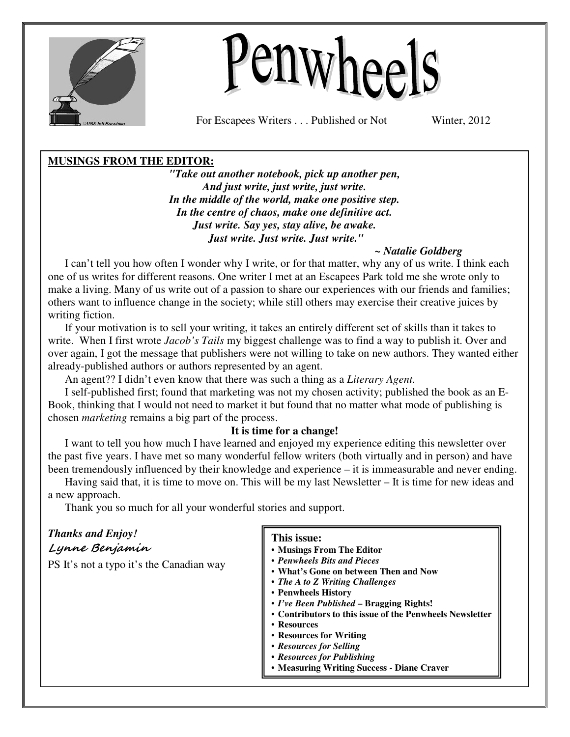



For Escapees Writers . . . Published or Not Winter, 2012

### **MUSINGS FROM THE EDITOR:**

*"Take out another notebook, pick up another pen, And just write, just write, just write. In the middle of the world, make one positive step. In the centre of chaos, make one definitive act. Just write. Say yes, stay alive, be awake. Just write. Just write. Just write."* 

### *~ Natalie Goldberg*

I can't tell you how often I wonder why I write, or for that matter, why any of us write. I think each one of us writes for different reasons. One writer I met at an Escapees Park told me she wrote only to make a living. Many of us write out of a passion to share our experiences with our friends and families; others want to influence change in the society; while still others may exercise their creative juices by writing fiction.

If your motivation is to sell your writing, it takes an entirely different set of skills than it takes to write. When I first wrote *Jacob's Tails* my biggest challenge was to find a way to publish it. Over and over again, I got the message that publishers were not willing to take on new authors. They wanted either already-published authors or authors represented by an agent.

An agent?? I didn't even know that there was such a thing as a *Literary Agent.* 

I self-published first; found that marketing was not my chosen activity; published the book as an E-Book, thinking that I would not need to market it but found that no matter what mode of publishing is chosen *marketing* remains a big part of the process.

### **It is time for a change!**

I want to tell you how much I have learned and enjoyed my experience editing this newsletter over the past five years. I have met so many wonderful fellow writers (both virtually and in person) and have been tremendously influenced by their knowledge and experience – it is immeasurable and never ending.

Having said that, it is time to move on. This will be my last Newsletter – It is time for new ideas and a new approach.

Thank you so much for all your wonderful stories and support.

| <b>Thanks and Enjoy!</b><br>Lynne Benjamin<br>PS It's not a typo it's the Canadian way | This issue:<br>• Musings From The Editor<br>• Penwheels Bits and Pieces<br>• What's Gone on between Then and Now<br>• The A to Z Writing Challenges<br>• Penwheels History<br>• I've Been Published - Bragging Rights!<br>• Contributors to this issue of the Penwheels Newsletter<br>• Resources<br>• Resources for Writing<br>• Resources for Selling<br>• Resources for Publishing<br>• Measuring Writing Success - Diane Craver |
|----------------------------------------------------------------------------------------|-------------------------------------------------------------------------------------------------------------------------------------------------------------------------------------------------------------------------------------------------------------------------------------------------------------------------------------------------------------------------------------------------------------------------------------|
|                                                                                        |                                                                                                                                                                                                                                                                                                                                                                                                                                     |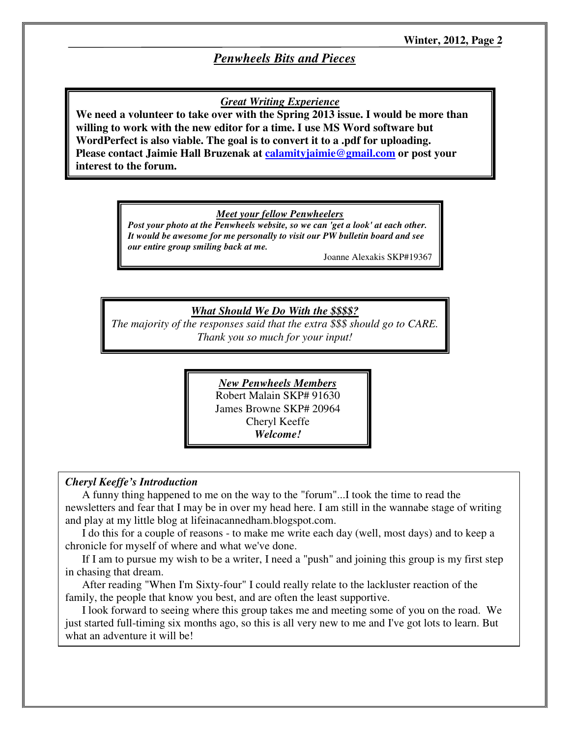## *Penwheels Bits and Pieces*

### *Great Writing Experience*

**We need a volunteer to take over with the Spring 2013 issue. I would be more than willing to work with the new editor for a time. I use MS Word software but WordPerfect is also viable. The goal is to convert it to a .pdf for uploading. Please contact Jaimie Hall Bruzenak at calamityjaimie@gmail.com or post your interest to the forum.** 

#### *Meet your fellow Penwheelers*

*Post your photo at the Penwheels website, so we can 'get a look' at each other. It would be awesome for me personally to visit our PW bulletin board and see our entire group smiling back at me.*

Joanne Alexakis SKP#19367

### *What Should We Do With the \$\$\$\$?*

*The majority of the responses said that the extra \$\$\$ should go to CARE. Thank you so much for your input!*

> *New Penwheels Members* Robert Malain SKP# 91630 James Browne SKP# 20964 Cheryl Keeffe *Welcome!*

#### *Cheryl Keeffe's Introduction*

A funny thing happened to me on the way to the "forum"...I took the time to read the newsletters and fear that I may be in over my head here. I am still in the wannabe stage of writing and play at my little blog at lifeinacannedham.blogspot.com.

I do this for a couple of reasons - to make me write each day (well, most days) and to keep a chronicle for myself of where and what we've done.

If I am to pursue my wish to be a writer, I need a "push" and joining this group is my first step in chasing that dream.

After reading "When I'm Sixty-four" I could really relate to the lackluster reaction of the family, the people that know you best, and are often the least supportive.

I look forward to seeing where this group takes me and meeting some of you on the road. We just started full-timing six months ago, so this is all very new to me and I've got lots to learn. But what an adventure it will be!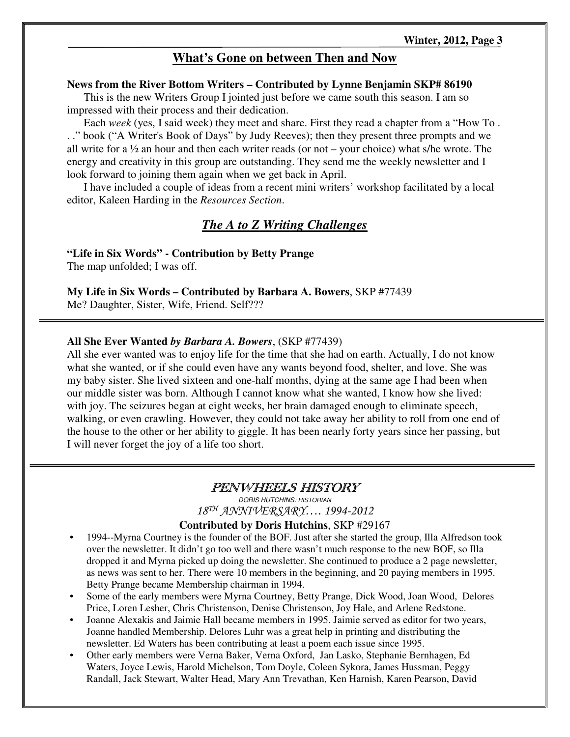### **What's Gone on between Then and Now**

#### **News from the River Bottom Writers – Contributed by Lynne Benjamin SKP# 86190**

This is the new Writers Group I jointed just before we came south this season. I am so impressed with their process and their dedication.

Each *week* (yes, I said week) they meet and share. First they read a chapter from a "How To . . ." book ("A Writer's Book of Days" by Judy Reeves); then they present three prompts and we all write for a  $\frac{1}{2}$  an hour and then each writer reads (or not – your choice) what s/he wrote. The energy and creativity in this group are outstanding. They send me the weekly newsletter and I look forward to joining them again when we get back in April.

I have included a couple of ideas from a recent mini writers' workshop facilitated by a local editor, Kaleen Harding in the *Resources Section*.

### *The A to Z Writing Challenges*

**"Life in Six Words" - Contribution by Betty Prange** 

The map unfolded; I was off.

**My Life in Six Words – Contributed by Barbara A. Bowers**, SKP #77439

Me? Daughter, Sister, Wife, Friend. Self???

#### **All She Ever Wanted** *by Barbara A. Bowers*, (SKP #77439)

All she ever wanted was to enjoy life for the time that she had on earth. Actually, I do not know what she wanted, or if she could even have any wants beyond food, shelter, and love. She was my baby sister. She lived sixteen and one-half months, dying at the same age I had been when our middle sister was born. Although I cannot know what she wanted, I know how she lived: with joy. The seizures began at eight weeks, her brain damaged enough to eliminate speech, walking, or even crawling. However, they could not take away her ability to roll from one end of the house to the other or her ability to giggle. It has been nearly forty years since her passing, but I will never forget the joy of a life too short.

## PENWHEELS HISTORY

DORIS HUTCHINS: HISTORIAN18TH ANNIVERSARY…. 1994-2012

### **Contributed by Doris Hutchins**, SKP #29167

- 1994--Myrna Courtney is the founder of the BOF. Just after she started the group, Illa Alfredson took over the newsletter. It didn't go too well and there wasn't much response to the new BOF, so Illa dropped it and Myrna picked up doing the newsletter. She continued to produce a 2 page newsletter, as news was sent to her. There were 10 members in the beginning, and 20 paying members in 1995. Betty Prange became Membership chairman in 1994.
- Some of the early members were Myrna Courtney, Betty Prange, Dick Wood, Joan Wood, Delores Price, Loren Lesher, Chris Christenson, Denise Christenson, Joy Hale, and Arlene Redstone.
- Joanne Alexakis and Jaimie Hall became members in 1995. Jaimie served as editor for two years, Joanne handled Membership. Delores Luhr was a great help in printing and distributing the newsletter. Ed Waters has been contributing at least a poem each issue since 1995.
- Other early members were Verna Baker, Verna Oxford, Jan Lasko, Stephanie Bernhagen, Ed Waters, Joyce Lewis, Harold Michelson, Tom Doyle, Coleen Sykora, James Hussman, Peggy Randall, Jack Stewart, Walter Head, Mary Ann Trevathan, Ken Harnish, Karen Pearson, David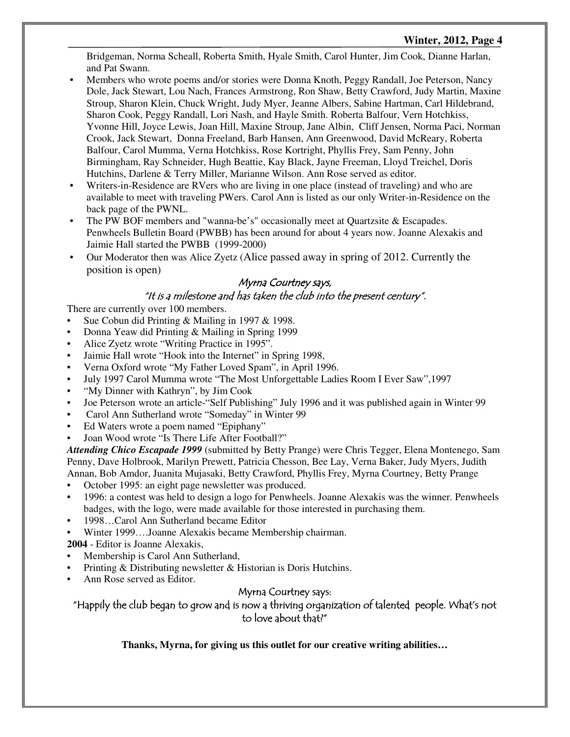### **Winter, 2012, Page 4**

Bridgeman, Norma Scheall, Roberta Smith, Hyale Smith, Carol Hunter, Jim Cook, Dianne Harlan, and Pat Swann.

- Members who wrote poems and/or stories were Donna Knoth, Peggy Randall, Joe Peterson, Nancy Dole, Jack Stewart, Lou Nach, Frances Armstrong, Ron Shaw, Betty Crawford, Judy Martin, Maxine Stroup, Sharon Klein, Chuck Wright, Judy Myer, Jeanne Albers, Sabine Hartman, Carl Hildebrand, Sharon Cook, Peggy Randall, Lori Nash, and Hayle Smith. Roberta Balfour, Vern Hotchkiss, Yvonne Hill, Joyce Lewis, Joan Hill, Maxine Stroup, Jane Albin, Cliff Jensen, Norma Paci, Norman Crook, Jack Stewart, Donna Freeland, Barb Hansen, Ann Greenwood, David McReary, Roberta Balfour, Carol Mumma, Verna Hotchkiss, Rose Kortright, Phyllis Frey, Sam Penny, John Birmingham, Ray Schneider, Hugh Beattie, Kay Black, Jayne Freeman, Lloyd Treichel, Doris Hutchins, Darlene & Terry Miller, Marianne Wilson. Ann Rose served as editor.
- Writers-in-Residence are RVers who are living in one place (instead of traveling) and who are available to meet with traveling PWers. Carol Ann is listed as our only Writer-in-Residence on the back page of the PWNL.
- The PW BOF members and "wanna-be's" occasionally meet at Ouartzsite & Escapades. Penwheels Bulletin Board (PWBB) has been around for about 4 years now. Joanne Alexakis and Jaimie Hall started the PWBB (1999-2000)
- Our Moderator then was Alice Zyetz (Alice passed away in spring of 2012. Currently the position is open)

### Myrna Courtney says,

### "It is a milestone and has taken the club into the present century".

There are currently over 100 members.

- Sue Cobun did Printing & Mailing in 1997 & 1998.
- Donna Yeaw did Printing & Mailing in Spring 1999
- Alice Zyetz wrote "Writing Practice in 1995".
- Jaimie Hall wrote "Hook into the Internet" in Spring 1998,
- Verna Oxford wrote "My Father Loved Spam", in April 1996.
- July 1997 Carol Mumma wrote "The Most Unforgettable Ladies Room I Ever Saw",1997
- "My Dinner with Kathryn", by Jim Cook
- Joe Peterson wrote an article-"Self Publishing" July 1996 and it was published again in Winter 99
- Carol Ann Sutherland wrote "Someday" in Winter 99
- Ed Waters wrote a poem named "Epiphany"
- Joan Wood wrote "Is There Life After Football?"

*Attending Chico Escapade 1999* (submitted by Betty Prange) were Chris Tegger, Elena Montenego, Sam Penny, Dave Holbrook, Marilyn Prewett, Patricia Chesson, Bee Lay, Verna Baker, Judy Myers, Judith Annan, Bob Amdor, Juanita Mujasaki, Betty Crawford, Phyllis Frey, Myrna Courtney, Betty Prange

- October 1995: an eight page newsletter was produced.
- 1996: a contest was held to design a logo for Penwheels. Joanne Alexakis was the winner. Penwheels badges, with the logo, were made available for those interested in purchasing them.
- 1998…Carol Ann Sutherland became Editor
- Winter 1999….Joanne Alexakis became Membership chairman.

**2004** - Editor is Joanne Alexakis,

- Membership is Carol Ann Sutherland,
- Printing & Distributing newsletter & Historian is Doris Hutchins.
- Ann Rose served as Editor.

### Myrna Courtney says:

"Happily the club began to grow and is now a thriving organization of talented people. What's not to love about that?"

**Thanks, Myrna, for giving us this outlet for our creative writing abilities…**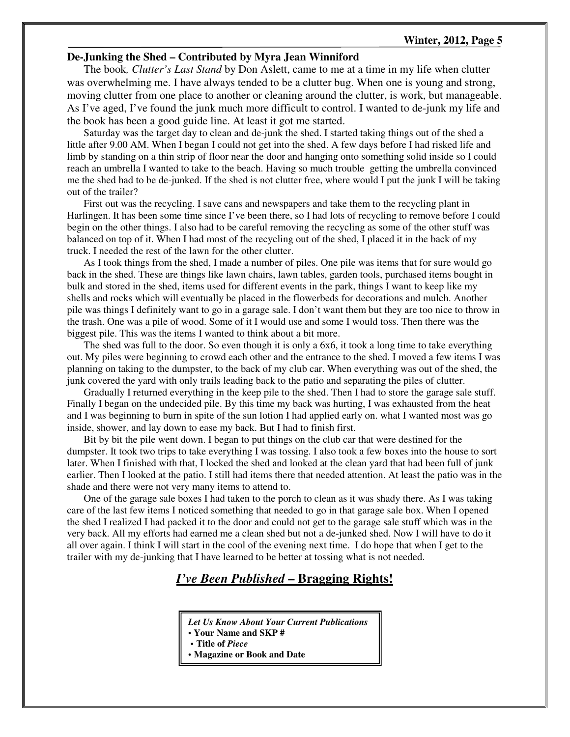#### **Winter, 2012, Page 5**

#### **De-Junking the Shed – Contributed by Myra Jean Winniford**

The book*, Clutter's Last Stand* by Don Aslett, came to me at a time in my life when clutter was overwhelming me. I have always tended to be a clutter bug. When one is young and strong, moving clutter from one place to another or cleaning around the clutter, is work, but manageable. As I've aged, I've found the junk much more difficult to control. I wanted to de-junk my life and the book has been a good guide line. At least it got me started.

Saturday was the target day to clean and de-junk the shed. I started taking things out of the shed a little after 9.00 AM. When I began I could not get into the shed. A few days before I had risked life and limb by standing on a thin strip of floor near the door and hanging onto something solid inside so I could reach an umbrella I wanted to take to the beach. Having so much trouble getting the umbrella convinced me the shed had to be de-junked. If the shed is not clutter free, where would I put the junk I will be taking out of the trailer?

First out was the recycling. I save cans and newspapers and take them to the recycling plant in Harlingen. It has been some time since I've been there, so I had lots of recycling to remove before I could begin on the other things. I also had to be careful removing the recycling as some of the other stuff was balanced on top of it. When I had most of the recycling out of the shed, I placed it in the back of my truck. I needed the rest of the lawn for the other clutter.

As I took things from the shed, I made a number of piles. One pile was items that for sure would go back in the shed. These are things like lawn chairs, lawn tables, garden tools, purchased items bought in bulk and stored in the shed, items used for different events in the park, things I want to keep like my shells and rocks which will eventually be placed in the flowerbeds for decorations and mulch. Another pile was things I definitely want to go in a garage sale. I don't want them but they are too nice to throw in the trash. One was a pile of wood. Some of it I would use and some I would toss. Then there was the biggest pile. This was the items I wanted to think about a bit more.

The shed was full to the door. So even though it is only a 6x6, it took a long time to take everything out. My piles were beginning to crowd each other and the entrance to the shed. I moved a few items I was planning on taking to the dumpster, to the back of my club car. When everything was out of the shed, the junk covered the yard with only trails leading back to the patio and separating the piles of clutter.

Gradually I returned everything in the keep pile to the shed. Then I had to store the garage sale stuff. Finally I began on the undecided pile. By this time my back was hurting, I was exhausted from the heat and I was beginning to burn in spite of the sun lotion I had applied early on. what I wanted most was go inside, shower, and lay down to ease my back. But I had to finish first.

Bit by bit the pile went down. I began to put things on the club car that were destined for the dumpster. It took two trips to take everything I was tossing. I also took a few boxes into the house to sort later. When I finished with that, I locked the shed and looked at the clean yard that had been full of junk earlier. Then I looked at the patio. I still had items there that needed attention. At least the patio was in the shade and there were not very many items to attend to.

One of the garage sale boxes I had taken to the porch to clean as it was shady there. As I was taking care of the last few items I noticed something that needed to go in that garage sale box. When I opened the shed I realized I had packed it to the door and could not get to the garage sale stuff which was in the very back. All my efforts had earned me a clean shed but not a de-junked shed. Now I will have to do it all over again. I think I will start in the cool of the evening next time. I do hope that when I get to the trailer with my de-junking that I have learned to be better at tossing what is not needed.

### *I've Been Published* **– Bragging Rights!**

*Let Us Know About Your Current Publications* 

**• Your Name and SKP #** 

**• Title of** *Piece*

**• Magazine or Book and Date**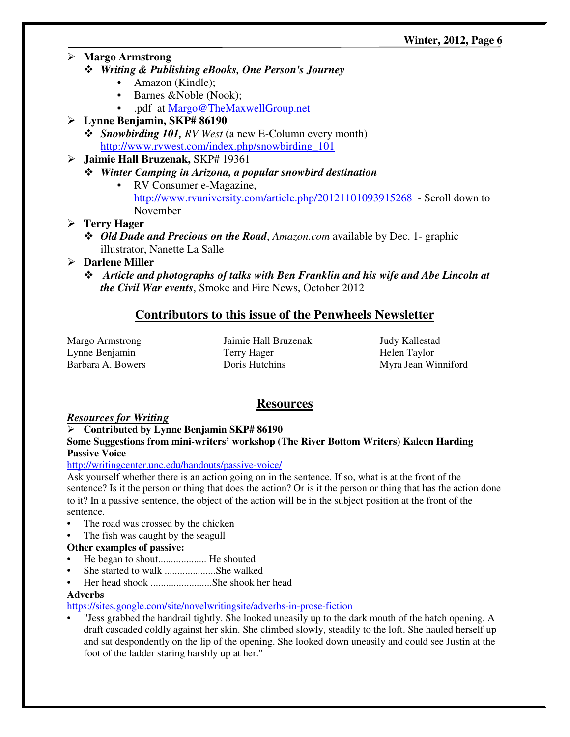- **Margo Armstrong** 
	- *Writing & Publishing eBooks, One Person's Journey*
		- Amazon (Kindle);
		- Barnes &Noble (Nook);
		- .pdf at Margo@TheMaxwellGroup.net
- **Lynne Benjamin, SKP# 86190** 
	- *Snowbirding 101, RV West* (a new E-Column every month) http://www.rvwest.com/index.php/snowbirding\_101
- **Jaimie Hall Bruzenak,** SKP# 19361
	- *Winter Camping in Arizona, a popular snowbird destination*
		- RV Consumer e-Magazine, http://www.rvuniversity.com/article.php/20121101093915268 - Scroll down to November

### **Terry Hager**

- *Old Dude and Precious on the Road*, *Amazon.com* available by Dec. 1- graphic illustrator, Nanette La Salle
- **Darlene Miller** 
	- *Article and photographs of talks with Ben Franklin and his wife and Abe Lincoln at the Civil War events*, Smoke and Fire News, October 2012

## **Contributors to this issue of the Penwheels Newsletter**

Margo Armstrong Lynne Benjamin Barbara A. Bowers Jaimie Hall Bruzenak Terry Hager Doris Hutchins

Judy Kallestad Helen Taylor Myra Jean Winniford

# **Resources**

### *Resources for Writing*

### **Contributed by Lynne Benjamin SKP# 86190**

### **Some Suggestions from mini-writers' workshop (The River Bottom Writers) Kaleen Harding Passive Voice**

### http://writingcenter.unc.edu/handouts/passive-voice/

Ask yourself whether there is an action going on in the sentence. If so, what is at the front of the sentence? Is it the person or thing that does the action? Or is it the person or thing that has the action done to it? In a passive sentence, the object of the action will be in the subject position at the front of the sentence.

- The road was crossed by the chicken
- The fish was caught by the seagull

### **Other examples of passive:**

- He began to shout................... He shouted
- She started to walk ......................She walked
- Her head shook ........................She shook her head

### **Adverbs**

https://sites.google.com/site/novelwritingsite/adverbs-in-prose-fiction

• "Jess grabbed the handrail tightly. She looked uneasily up to the dark mouth of the hatch opening. A draft cascaded coldly against her skin. She climbed slowly, steadily to the loft. She hauled herself up and sat despondently on the lip of the opening. She looked down uneasily and could see Justin at the foot of the ladder staring harshly up at her."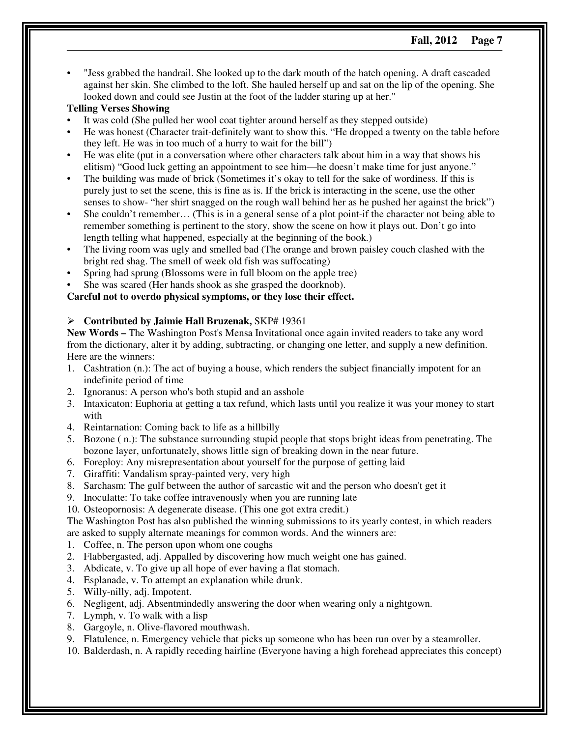• "Jess grabbed the handrail. She looked up to the dark mouth of the hatch opening. A draft cascaded against her skin. She climbed to the loft. She hauled herself up and sat on the lip of the opening. She looked down and could see Justin at the foot of the ladder staring up at her."

#### **Telling Verses Showing**

- It was cold (She pulled her wool coat tighter around herself as they stepped outside)
- He was honest (Character trait-definitely want to show this. "He dropped a twenty on the table before they left. He was in too much of a hurry to wait for the bill")
- He was elite (put in a conversation where other characters talk about him in a way that shows his elitism) "Good luck getting an appointment to see him—he doesn't make time for just anyone."
- The building was made of brick (Sometimes it's okay to tell for the sake of wordiness. If this is purely just to set the scene, this is fine as is. If the brick is interacting in the scene, use the other senses to show- "her shirt snagged on the rough wall behind her as he pushed her against the brick")
- She couldn't remember… (This is in a general sense of a plot point-if the character not being able to remember something is pertinent to the story, show the scene on how it plays out. Don't go into length telling what happened, especially at the beginning of the book.)
- The living room was ugly and smelled bad (The orange and brown paisley couch clashed with the bright red shag. The smell of week old fish was suffocating)
- Spring had sprung (Blossoms were in full bloom on the apple tree)
- She was scared (Her hands shook as she grasped the doorknob).

### **Careful not to overdo physical symptoms, or they lose their effect.**

#### **Contributed by Jaimie Hall Bruzenak,** SKP# 19361

**New Words –** The Washington Post's Mensa Invitational once again invited readers to take any word from the dictionary, alter it by adding, subtracting, or changing one letter, and supply a new definition. Here are the winners:

- 1. Cashtration (n.): The act of buying a house, which renders the subject financially impotent for an indefinite period of time
- 2. Ignoranus: A person who's both stupid and an asshole
- 3. Intaxicaton: Euphoria at getting a tax refund, which lasts until you realize it was your money to start with
- 4. Reintarnation: Coming back to life as a hillbilly
- 5. Bozone ( n.): The substance surrounding stupid people that stops bright ideas from penetrating. The bozone layer, unfortunately, shows little sign of breaking down in the near future.
- 6. Foreploy: Any misrepresentation about yourself for the purpose of getting laid
- 7. Giraffiti: Vandalism spray-painted very, very high
- 8. Sarchasm: The gulf between the author of sarcastic wit and the person who doesn't get it
- 9. Inoculatte: To take coffee intravenously when you are running late
- 10. Osteopornosis: A degenerate disease. (This one got extra credit.)

The Washington Post has also published the winning submissions to its yearly contest, in which readers are asked to supply alternate meanings for common words. And the winners are:

- 1. Coffee, n. The person upon whom one coughs
- 2. Flabbergasted, adj. Appalled by discovering how much weight one has gained.
- 3. Abdicate, v. To give up all hope of ever having a flat stomach.
- 4. Esplanade, v. To attempt an explanation while drunk.
- 5. Willy-nilly, adj. Impotent.
- 6. Negligent, adj. Absentmindedly answering the door when wearing only a nightgown.
- 7. Lymph, v. To walk with a lisp
- 8. Gargoyle, n. Olive-flavored mouthwash.
- 9. Flatulence, n. Emergency vehicle that picks up someone who has been run over by a steamroller.
- 10. Balderdash, n. A rapidly receding hairline (Everyone having a high forehead appreciates this concept)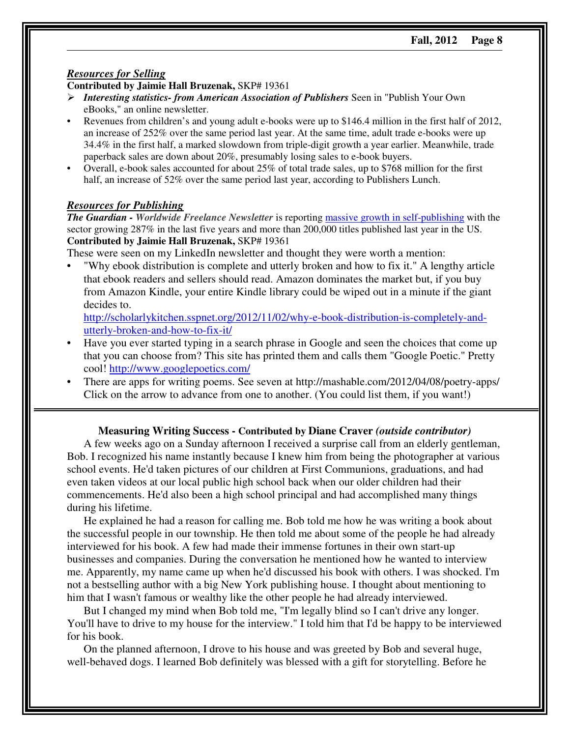#### *Resources for Selling*

#### **Contributed by Jaimie Hall Bruzenak,** SKP# 19361

- *Interesting statistics- from American Association of Publishers* Seen in "Publish Your Own eBooks," an online newsletter.
- Revenues from children's and young adult e-books were up to \$146.4 million in the first half of 2012, an increase of 252% over the same period last year. At the same time, adult trade e-books were up 34.4% in the first half, a marked slowdown from triple-digit growth a year earlier. Meanwhile, trade paperback sales are down about 20%, presumably losing sales to e-book buyers.
- Overall, e-book sales accounted for about 25% of total trade sales, up to \$768 million for the first half, an increase of 52% over the same period last year, according to Publishers Lunch.

#### *Resources for Publishing*

*The Guardian - Worldwide Freelance Newsletter* is reporting massive growth in self-publishing with the sector growing 287% in the last five years and more than 200,000 titles published last year in the US. **Contributed by Jaimie Hall Bruzenak,** SKP# 19361

These were seen on my LinkedIn newsletter and thought they were worth a mention:

• "Why ebook distribution is complete and utterly broken and how to fix it." A lengthy article that ebook readers and sellers should read. Amazon dominates the market but, if you buy from Amazon Kindle, your entire Kindle library could be wiped out in a minute if the giant decides to.

http://scholarlykitchen.sspnet.org/2012/11/02/why-e-book-distribution-is-completely-andutterly-broken-and-how-to-fix-it/

- Have you ever started typing in a search phrase in Google and seen the choices that come up that you can choose from? This site has printed them and calls them "Google Poetic." Pretty cool! http://www.googlepoetics.com/
- There are apps for writing poems. See seven at http://mashable.com/2012/04/08/poetry-apps/ Click on the arrow to advance from one to another. (You could list them, if you want!)

#### **Measuring Writing Success - Contributed by Diane Craver** *(outside contributor)*

A few weeks ago on a Sunday afternoon I received a surprise call from an elderly gentleman, Bob. I recognized his name instantly because I knew him from being the photographer at various school events. He'd taken pictures of our children at First Communions, graduations, and had even taken videos at our local public high school back when our older children had their commencements. He'd also been a high school principal and had accomplished many things during his lifetime.

He explained he had a reason for calling me. Bob told me how he was writing a book about the successful people in our township. He then told me about some of the people he had already interviewed for his book. A few had made their immense fortunes in their own start-up businesses and companies. During the conversation he mentioned how he wanted to interview me. Apparently, my name came up when he'd discussed his book with others. I was shocked. I'm not a bestselling author with a big New York publishing house. I thought about mentioning to him that I wasn't famous or wealthy like the other people he had already interviewed.

But I changed my mind when Bob told me, "I'm legally blind so I can't drive any longer. You'll have to drive to my house for the interview." I told him that I'd be happy to be interviewed for his book.

On the planned afternoon, I drove to his house and was greeted by Bob and several huge, well-behaved dogs. I learned Bob definitely was blessed with a gift for storytelling. Before he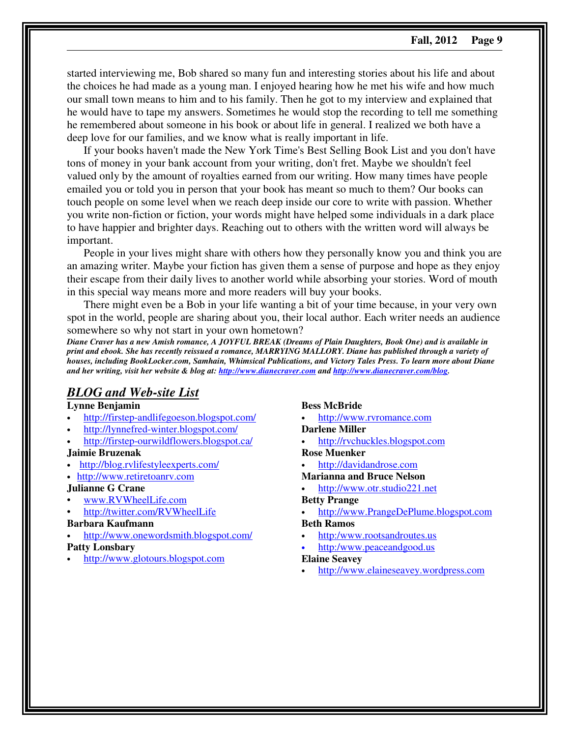started interviewing me, Bob shared so many fun and interesting stories about his life and about the choices he had made as a young man. I enjoyed hearing how he met his wife and how much our small town means to him and to his family. Then he got to my interview and explained that he would have to tape my answers. Sometimes he would stop the recording to tell me something he remembered about someone in his book or about life in general. I realized we both have a deep love for our families, and we know what is really important in life.

If your books haven't made the New York Time's Best Selling Book List and you don't have tons of money in your bank account from your writing, don't fret. Maybe we shouldn't feel valued only by the amount of royalties earned from our writing. How many times have people emailed you or told you in person that your book has meant so much to them? Our books can touch people on some level when we reach deep inside our core to write with passion. Whether you write non-fiction or fiction, your words might have helped some individuals in a dark place to have happier and brighter days. Reaching out to others with the written word will always be important.

People in your lives might share with others how they personally know you and think you are an amazing writer. Maybe your fiction has given them a sense of purpose and hope as they enjoy their escape from their daily lives to another world while absorbing your stories. Word of mouth in this special way means more and more readers will buy your books.

There might even be a Bob in your life wanting a bit of your time because, in your very own spot in the world, people are sharing about you, their local author. Each writer needs an audience somewhere so why not start in your own hometown?

*Diane Craver has a new Amish romance, A JOYFUL BREAK (Dreams of Plain Daughters, Book One) and is available in print and ebook. She has recently reissued a romance, MARRYING MALLORY. Diane has published through a variety of houses, including BookLocker.com, Samhain, Whimsical Publications, and Victory Tales Press. To learn more about Diane and her writing, visit her website & blog at: http://www.dianecraver.com and http://www.dianecraver.com/blog.*

### *BLOG and Web-site List*

#### **Lynne Benjamin**

- http://firstep-andlifegoeson.blogspot.com/
- http://lynnefred-winter.blogspot.com/
- http://firstep-ourwildflowers.blogspot.ca/

#### **Jaimie Bruzenak**

- http://blog.rvlifestyleexperts.com/
- http://www.retiretoanrv.com
- **Julianne G Crane**
- www.RVWheelLife.com
- http://twitter.com/RVWheelLife

#### **Barbara Kaufmann**

• http://www.onewordsmith.blogspot.com/

### **Patty Lonsbary**

• http://www.glotours.blogspot.com

#### **Bess McBride**

• http://www.rvromance.com

#### **Darlene Miller**

• http://rvchuckles.blogspot.com

#### **Rose Muenker**

- http://davidandrose.com
- **Marianna and Bruce Nelson**
- http://www.otr.studio221.net

#### **Betty Prange**

• http://www.PrangeDePlume.blogspot.com

#### **Beth Ramos**

- http:/www.rootsandroutes.us
- http:/www.peaceandgood.us

#### **Elaine Seavey**

• http://www.elaineseavey.wordpress.com